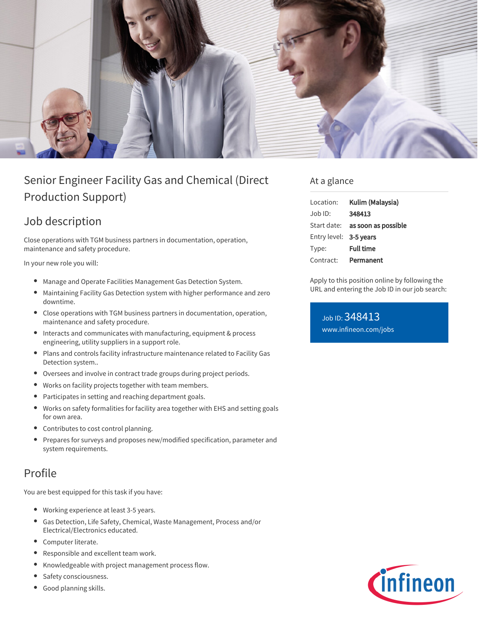

# Senior Engineer Facility Gas and Chemical (Direct Production Support)

## Job description

Close operations with TGM business partners in documentation, operation, maintenance and safety procedure.

In your new role you will:

- Manage and Operate Facilities Management Gas Detection System.
- Maintaining Facility Gas Detection system with higher performance and zero downtime.
- $\bullet$ Close operations with TGM business partners in documentation, operation, maintenance and safety procedure.
- Interacts and communicates with manufacturing, equipment & process engineering, utility suppliers in a support role.
- Plans and controls facility infrastructure maintenance related to Facility Gas  $\bullet$ Detection system..
- Oversees and involve in contract trade groups during project periods.
- $\bullet$ Works on facility projects together with team members.
- $\bullet$ Participates in setting and reaching department goals.
- Works on safety formalities for facility area together with EHS and setting goals for own area.
- Contributes to cost control planning.
- Prepares for surveys and proposes new/modified specification, parameter and system requirements.

### Profile

You are best equipped for this task if you have:

- Working experience at least 3-5 years.
- Gas Detection, Life Safety, Chemical, Waste Management, Process and/or Electrical/Electronics educated.
- Computer literate.
- $\bullet$ Responsible and excellent team work.
- Knowledgeable with project management process flow.  $\bullet$
- Safety consciousness.  $\bullet$
- Good planning skills.

#### At a glance

| Location:              | Kulim (Malaysia)                       |
|------------------------|----------------------------------------|
| $Joh$ ID:              | 348413                                 |
|                        | Start date: <b>as soon as possible</b> |
| Entry level: 3-5 years |                                        |
| Type:                  | <b>Full time</b>                       |
| Contract:              | Permanent                              |

Apply to this position online by following the URL and entering the Job ID in our job search:

Job ID: 348413 [www.infineon.com/jobs](https://www.infineon.com/jobs)